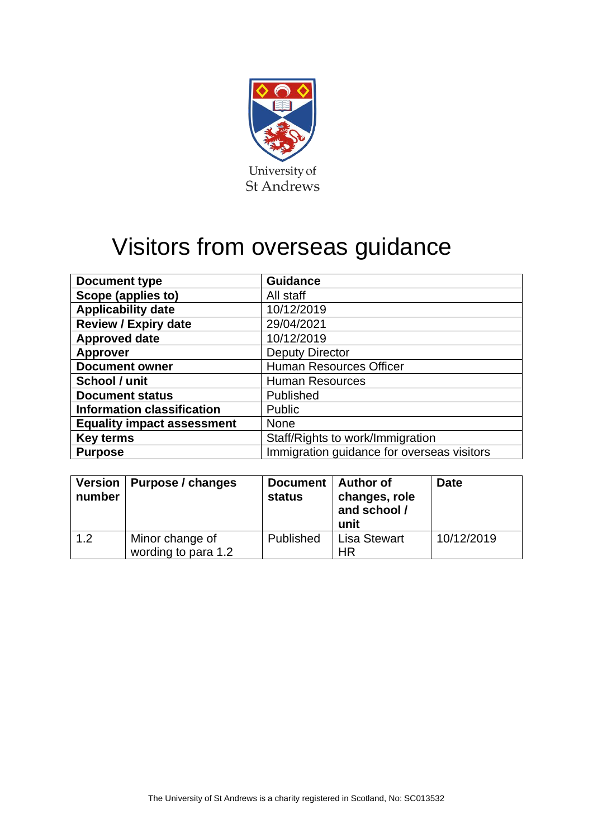

# Visitors from overseas guidance

| <b>Document type</b>              | <b>Guidance</b>                            |
|-----------------------------------|--------------------------------------------|
| Scope (applies to)                | All staff                                  |
| <b>Applicability date</b>         | 10/12/2019                                 |
| <b>Review / Expiry date</b>       | 29/04/2021                                 |
| <b>Approved date</b>              | 10/12/2019                                 |
| <b>Approver</b>                   | <b>Deputy Director</b>                     |
| <b>Document owner</b>             | <b>Human Resources Officer</b>             |
| School / unit                     | <b>Human Resources</b>                     |
| <b>Document status</b>            | Published                                  |
| <b>Information classification</b> | <b>Public</b>                              |
| <b>Equality impact assessment</b> | <b>None</b>                                |
| <b>Key terms</b>                  | Staff/Rights to work/Immigration           |
| <b>Purpose</b>                    | Immigration guidance for overseas visitors |

| number | Version   Purpose / changes            | Document   Author of<br><b>status</b> | changes, role<br>and school /<br>unit | <b>Date</b> |
|--------|----------------------------------------|---------------------------------------|---------------------------------------|-------------|
| 1.2    | Minor change of<br>wording to para 1.2 | Published                             | <b>Lisa Stewart</b><br>ΗR             | 10/12/2019  |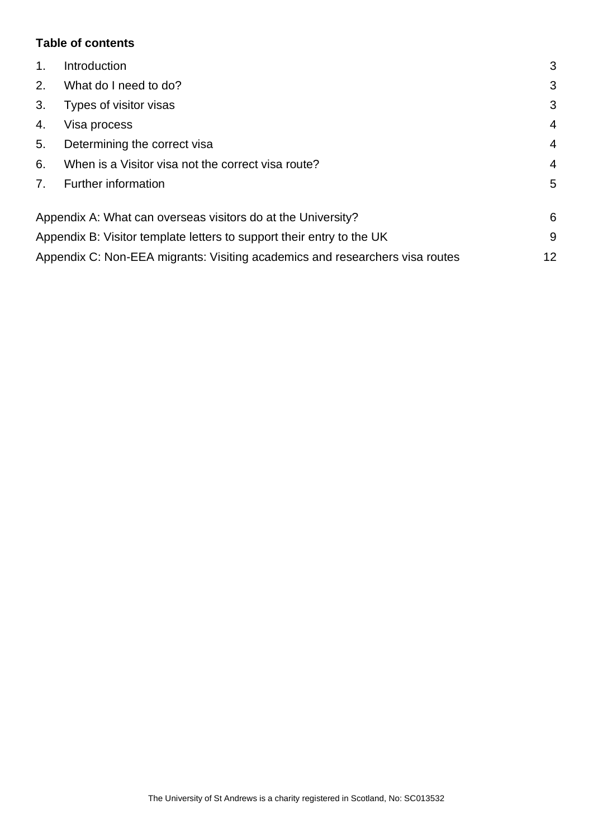## **Table of contents**

| Introduction                                                                 | 3              |
|------------------------------------------------------------------------------|----------------|
| What do I need to do?                                                        | 3              |
| Types of visitor visas                                                       | 3              |
| Visa process                                                                 | $\overline{4}$ |
| Determining the correct visa                                                 | $\overline{4}$ |
| When is a Visitor visa not the correct visa route?                           | $\overline{4}$ |
| Further information                                                          | 5              |
| Appendix A: What can overseas visitors do at the University?                 | 6              |
| Appendix B: Visitor template letters to support their entry to the UK        | 9              |
| Appendix C: Non-EEA migrants: Visiting academics and researchers visa routes | 12             |
|                                                                              |                |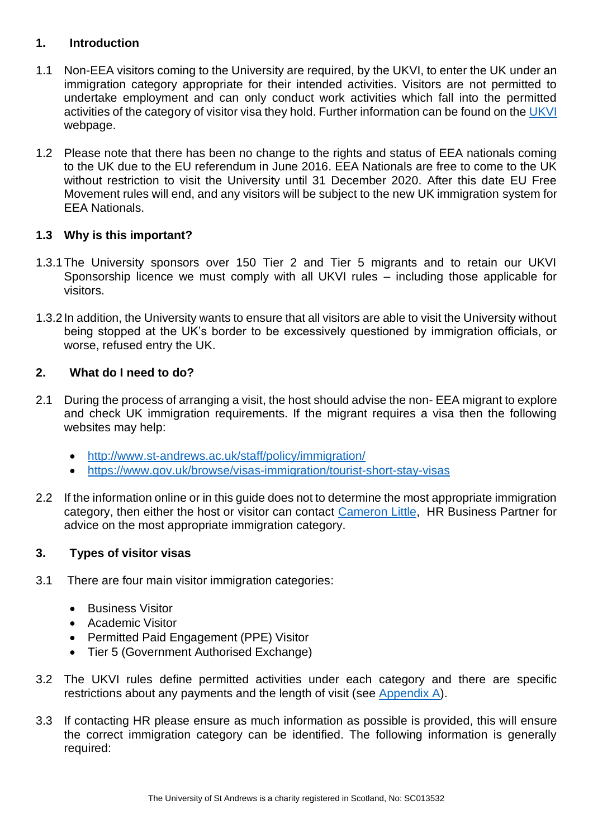## <span id="page-2-0"></span>**1. Introduction**

- 1.1 Non-EEA visitors coming to the University are required, by the UKVI, to enter the UK under an immigration category appropriate for their intended activities. Visitors are not permitted to undertake employment and can only conduct work activities which fall into the permitted activities of the category of visitor visa they hold. Further information can be found on the [UKVI](https://www.gov.uk/guidance/immigration-rules/immigration-rules-appendix-v-visitor-rules.) webpage.
- 1.2 Please note that there has been no change to the rights and status of EEA nationals coming to the UK due to the EU referendum in June 2016. EEA Nationals are free to come to the UK without restriction to visit the University until 31 December 2020. After this date EU Free Movement rules will end, and any visitors will be subject to the new UK immigration system for EEA Nationals.

## **1.3 Why is this important?**

- 1.3.1The University sponsors over 150 Tier 2 and Tier 5 migrants and to retain our UKVI Sponsorship licence we must comply with all UKVI rules – including those applicable for visitors.
- 1.3.2In addition, the University wants to ensure that all visitors are able to visit the University without being stopped at the UK's border to be excessively questioned by immigration officials, or worse, refused entry the UK.

## <span id="page-2-1"></span>**2. What do I need to do?**

- 2.1 During the process of arranging a visit, the host should advise the non- EEA migrant to explore and check UK immigration requirements. If the migrant requires a visa then the following websites may help:
	- <http://www.st-andrews.ac.uk/staff/policy/immigration/>
	- <https://www.gov.uk/browse/visas-immigration/tourist-short-stay-visas>
- 2.2 If the information online or in this guide does not to determine the most appropriate immigration category, then either the host or visitor can contact [Cameron Little,](https://www.st-andrews.ac.uk/hr/businesspartner/) HR Business Partner for advice on the most appropriate immigration category.

## <span id="page-2-2"></span>**3. Types of visitor visas**

- 3.1 There are four main visitor immigration categories:
	- Business Visitor
	- Academic Visitor
	- Permitted Paid Engagement (PPE) Visitor
	- Tier 5 (Government Authorised Exchange)
- 3.2 The UKVI rules define permitted activities under each category and there are specific restrictions about any payments and the length of visit (see [Appendix A\)](#page-5-0).
- 3.3 If contacting HR please ensure as much information as possible is provided, this will ensure the correct immigration category can be identified. The following information is generally required: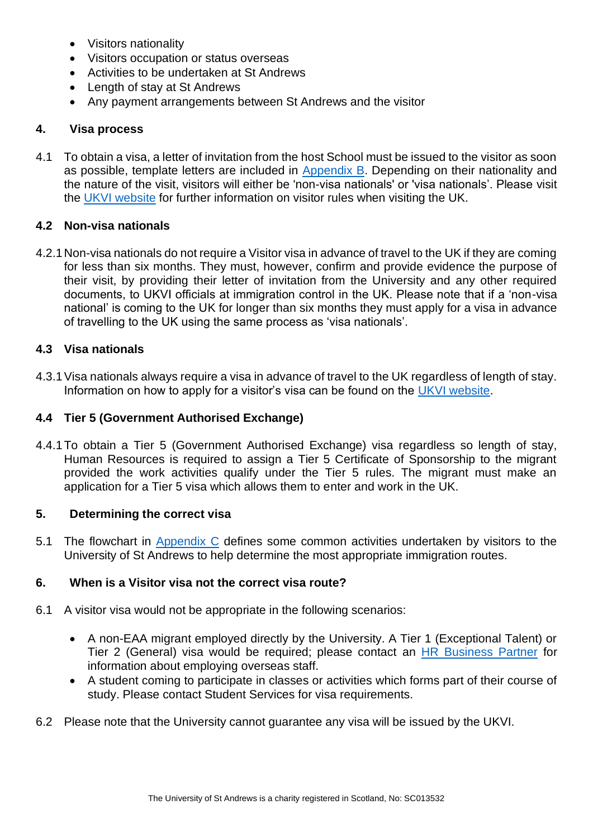- Visitors nationality
- Visitors occupation or status overseas
- Activities to be undertaken at St Andrews
- Length of stay at St Andrews
- Any payment arrangements between St Andrews and the visitor

## <span id="page-3-0"></span>**4. Visa process**

4.1 To obtain a visa, a letter of invitation from the host School must be issued to the visitor as soon as possible, template letters are included in [Appendix B.](#page-8-0) Depending on their nationality and the nature of the visit, visitors will either be 'non-visa nationals' or 'visa nationals'. Please visit the [UKVI website](https://www.gov.uk/guidance/immigration-rules/immigration-rules-appendix-v-visitor-rules) for further information on visitor rules when visiting the UK.

## **4.2 Non-visa nationals**

4.2.1Non-visa nationals do not require a Visitor visa in advance of travel to the UK if they are coming for less than six months. They must, however, confirm and provide evidence the purpose of their visit, by providing their letter of invitation from the University and any other required documents, to UKVI officials at immigration control in the UK. Please note that if a 'non-visa national' is coming to the UK for longer than six months they must apply for a visa in advance of travelling to the UK using the same process as 'visa nationals'.

## **4.3 Visa nationals**

4.3.1Visa nationals always require a visa in advance of travel to the UK regardless of length of stay. Information on how to apply for a visitor's visa can be found on the [UKVI website.](https://www.gov.uk/standard-visitor-visa)

## **4.4 Tier 5 (Government Authorised Exchange)**

4.4.1To obtain a Tier 5 (Government Authorised Exchange) visa regardless so length of stay, Human Resources is required to assign a Tier 5 Certificate of Sponsorship to the migrant provided the work activities qualify under the Tier 5 rules. The migrant must make an application for a Tier 5 visa which allows them to enter and work in the UK.

## <span id="page-3-1"></span>**5. Determining the correct visa**

5.1 The flowchart in [Appendix C](#page-11-0) defines some common activities undertaken by visitors to the University of St Andrews to help determine the most appropriate immigration routes.

## <span id="page-3-2"></span>**6. When is a Visitor visa not the correct visa route?**

- 6.1 A visitor visa would not be appropriate in the following scenarios:
	- A non-EAA migrant employed directly by the University. A Tier 1 (Exceptional Talent) or Tier 2 (General) visa would be required; please contact an [HR Business Partner](https://www.st-andrews.ac.uk/hr/businesspartner/) for information about employing overseas staff.
	- A student coming to participate in classes or activities which forms part of their course of study. Please contact Student Services for visa requirements.
- 6.2 Please note that the University cannot guarantee any visa will be issued by the UKVI.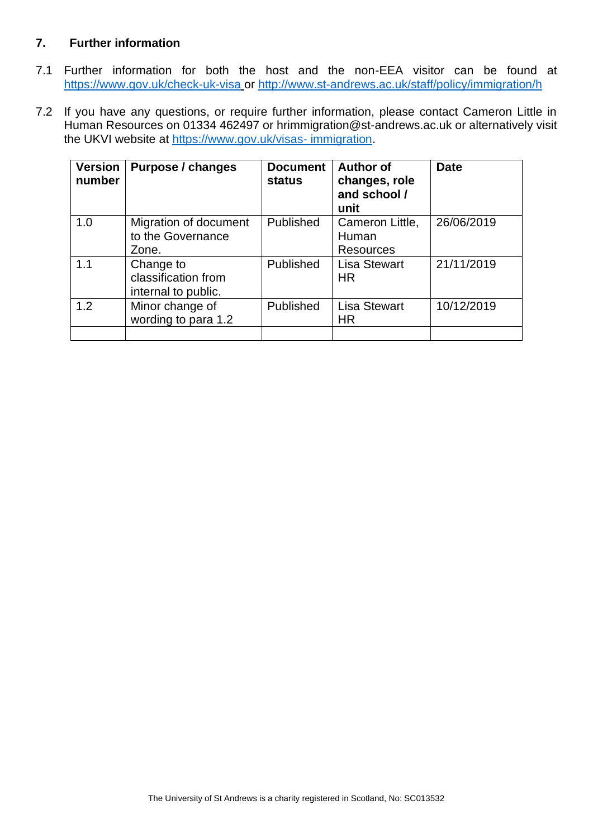## <span id="page-4-0"></span>**7. Further information**

- 7.1 Further information for both the host and the non-EEA visitor can be found at <https://www.gov.uk/check-uk-visa> or [http://www.st-andrews.ac.uk/staff/policy/immigration/h](http://www.st-andrews.ac.uk/staff/policy/immigration/)
- 7.2 If you have any questions, or require further information, please contact Cameron Little in Human Resources on 01334 462497 or hrimmigration@st-andrews.ac.uk or alternatively visit the UKVI website at [https://www.gov.uk/visas-](https://www.gov.uk/visas-%20immigration) immigration.

| <b>Version</b><br>number | Purpose / changes                                       | <b>Document</b><br><b>status</b> | <b>Author of</b><br>changes, role<br>and school /<br>unit | <b>Date</b> |
|--------------------------|---------------------------------------------------------|----------------------------------|-----------------------------------------------------------|-------------|
| 1.0                      | Migration of document<br>to the Governance<br>Zone.     | Published                        | Cameron Little,<br>Human<br><b>Resources</b>              | 26/06/2019  |
| 1.1                      | Change to<br>classification from<br>internal to public. | Published                        | <b>Lisa Stewart</b><br>HR.                                | 21/11/2019  |
| 1.2                      | Minor change of<br>wording to para 1.2                  | Published                        | <b>Lisa Stewart</b><br><b>HR</b>                          | 10/12/2019  |
|                          |                                                         |                                  |                                                           |             |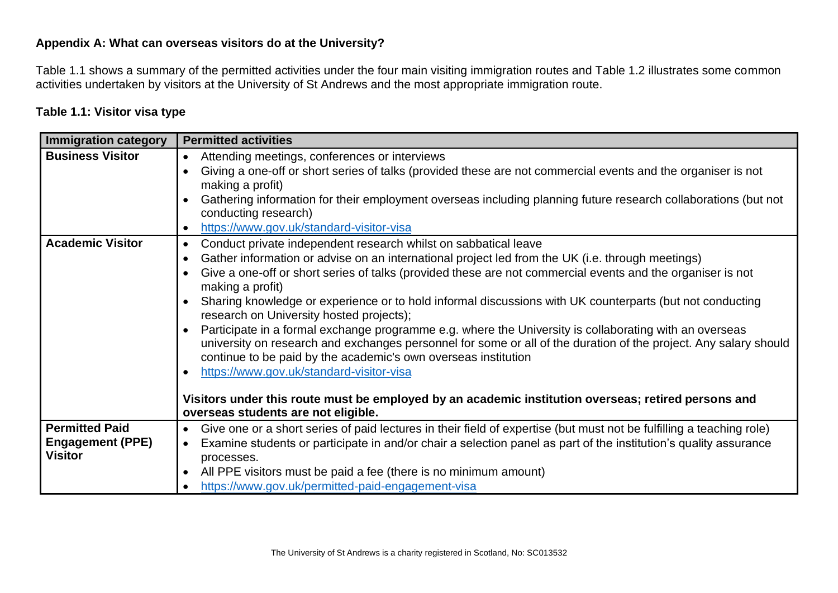## **Appendix A: What can overseas visitors do at the University?**

Table 1.1 shows a summary of the permitted activities under the four main visiting immigration routes and Table 1.2 illustrates some common activities undertaken by visitors at the University of St Andrews and the most appropriate immigration route.

## **Table 1.1: Visitor visa type**

<span id="page-5-0"></span>

| <b>Immigration category</b>                                        | <b>Permitted activities</b>                                                                                                                                                                                                                                                                                                                                                                                                                                                                                                                                                                                                                                                                                                                                                                                                                                                                                                                                                                    |  |  |  |
|--------------------------------------------------------------------|------------------------------------------------------------------------------------------------------------------------------------------------------------------------------------------------------------------------------------------------------------------------------------------------------------------------------------------------------------------------------------------------------------------------------------------------------------------------------------------------------------------------------------------------------------------------------------------------------------------------------------------------------------------------------------------------------------------------------------------------------------------------------------------------------------------------------------------------------------------------------------------------------------------------------------------------------------------------------------------------|--|--|--|
| <b>Business Visitor</b>                                            | Attending meetings, conferences or interviews<br>$\bullet$<br>Giving a one-off or short series of talks (provided these are not commercial events and the organiser is not<br>making a profit)<br>Gathering information for their employment overseas including planning future research collaborations (but not<br>conducting research)<br>https://www.gov.uk/standard-visitor-visa<br>$\bullet$                                                                                                                                                                                                                                                                                                                                                                                                                                                                                                                                                                                              |  |  |  |
| <b>Academic Visitor</b>                                            | Conduct private independent research whilst on sabbatical leave<br>$\bullet$<br>Gather information or advise on an international project led from the UK (i.e. through meetings)<br>$\bullet$<br>Give a one-off or short series of talks (provided these are not commercial events and the organiser is not<br>$\bullet$<br>making a profit)<br>Sharing knowledge or experience or to hold informal discussions with UK counterparts (but not conducting<br>research on University hosted projects);<br>Participate in a formal exchange programme e.g. where the University is collaborating with an overseas<br>university on research and exchanges personnel for some or all of the duration of the project. Any salary should<br>continue to be paid by the academic's own overseas institution<br>https://www.gov.uk/standard-visitor-visa<br>Visitors under this route must be employed by an academic institution overseas; retired persons and<br>overseas students are not eligible. |  |  |  |
| <b>Permitted Paid</b><br><b>Engagement (PPE)</b><br><b>Visitor</b> | Give one or a short series of paid lectures in their field of expertise (but must not be fulfilling a teaching role)<br>$\bullet$<br>Examine students or participate in and/or chair a selection panel as part of the institution's quality assurance<br>processes.<br>All PPE visitors must be paid a fee (there is no minimum amount)<br>https://www.gov.uk/permitted-paid-engagement-visa                                                                                                                                                                                                                                                                                                                                                                                                                                                                                                                                                                                                   |  |  |  |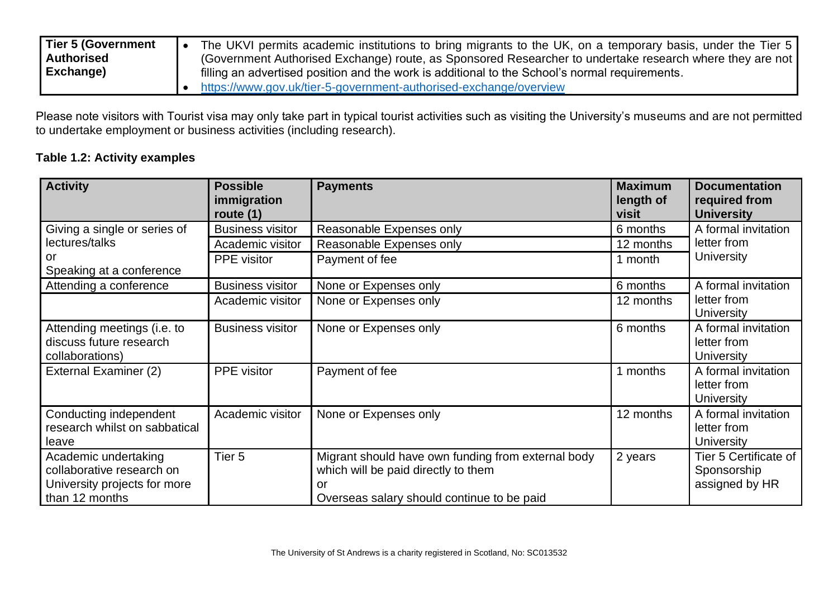| <b>Tier 5 (Government</b> | The UKVI permits academic institutions to bring migrants to the UK, on a temporary basis, under the Tier 5 |  |  |  |
|---------------------------|------------------------------------------------------------------------------------------------------------|--|--|--|
| <b>Authorised</b>         | (Government Authorised Exchange) route, as Sponsored Researcher to undertake research where they are not   |  |  |  |
| Exchange)                 | filling an advertised position and the work is additional to the School's normal requirements.             |  |  |  |
|                           | https://www.gov.uk/tier-5-government-authorised-exchange/overview                                          |  |  |  |

Please note visitors with Tourist visa may only take part in typical tourist activities such as visiting the University's museums and are not permitted to undertake employment or business activities (including research).

## **Table 1.2: Activity examples**

| <b>Activity</b>                                                                                     | <b>Possible</b><br>immigration<br>route $(1)$ | <b>Payments</b>                                                                                                                               | <b>Maximum</b><br>length of<br>visit | <b>Documentation</b><br>required from<br><b>University</b> |
|-----------------------------------------------------------------------------------------------------|-----------------------------------------------|-----------------------------------------------------------------------------------------------------------------------------------------------|--------------------------------------|------------------------------------------------------------|
| Giving a single or series of                                                                        | <b>Business visitor</b>                       | Reasonable Expenses only                                                                                                                      | 6 months                             | A formal invitation                                        |
| lectures/talks                                                                                      | Academic visitor                              | Reasonable Expenses only                                                                                                                      | 12 months                            | letter from                                                |
| or<br>Speaking at a conference                                                                      | PPE visitor                                   | Payment of fee                                                                                                                                | 1 month                              | University                                                 |
| Attending a conference                                                                              | <b>Business visitor</b>                       | None or Expenses only                                                                                                                         | 6 months                             | A formal invitation                                        |
|                                                                                                     | Academic visitor                              | None or Expenses only                                                                                                                         | 12 months                            | letter from<br><b>University</b>                           |
| Attending meetings (i.e. to<br>discuss future research<br>collaborations)                           | <b>Business visitor</b>                       | None or Expenses only                                                                                                                         | 6 months                             | A formal invitation<br>letter from<br>University           |
| External Examiner (2)                                                                               | <b>PPE</b> visitor                            | Payment of fee                                                                                                                                | 1 months                             | A formal invitation<br>letter from<br><b>University</b>    |
| Conducting independent<br>research whilst on sabbatical<br>leave                                    | Academic visitor                              | None or Expenses only                                                                                                                         | 12 months                            | A formal invitation<br>letter from<br><b>University</b>    |
| Academic undertaking<br>collaborative research on<br>University projects for more<br>than 12 months | Tier <sub>5</sub>                             | Migrant should have own funding from external body<br>which will be paid directly to them<br>or<br>Overseas salary should continue to be paid | 2 years                              | Tier 5 Certificate of<br>Sponsorship<br>assigned by HR     |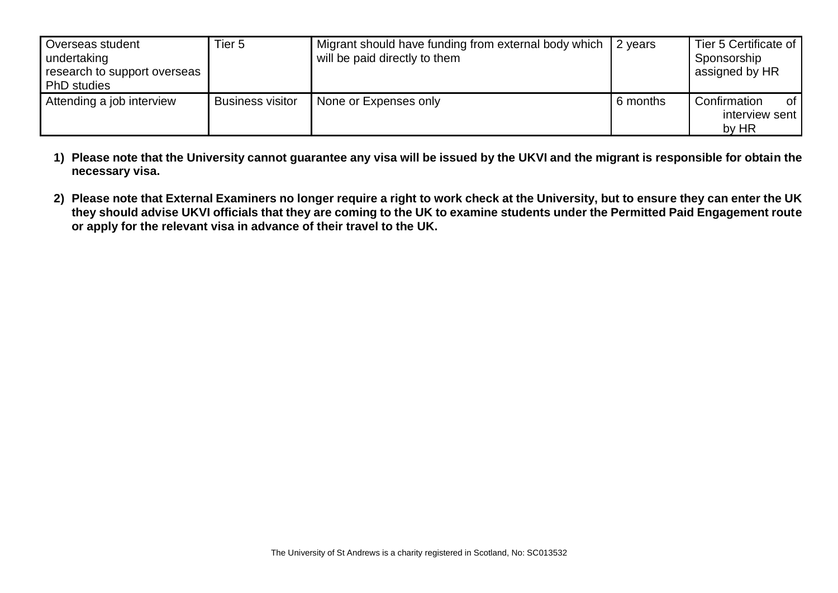| Overseas student<br>undertaking<br>research to support overseas<br><b>PhD</b> studies | Tier 5                  | Migrant should have funding from external body which<br>will be paid directly to them | 2 years  | Tier 5 Certificate of<br>Sponsorship<br>assigned by HR |
|---------------------------------------------------------------------------------------|-------------------------|---------------------------------------------------------------------------------------|----------|--------------------------------------------------------|
| Attending a job interview                                                             | <b>Business visitor</b> | None or Expenses only                                                                 | 6 months | Confirmation<br>0f<br>interview sent<br>by HR          |

- **1) Please note that the University cannot guarantee any visa will be issued by the UKVI and the migrant is responsible for obtain the necessary visa.**
- **2) Please note that External Examiners no longer require a right to work check at the University, but to ensure they can enter the UK they should advise UKVI officials that they are coming to the UK to examine students under the Permitted Paid Engagement route or apply for the relevant visa in advance of their travel to the UK.**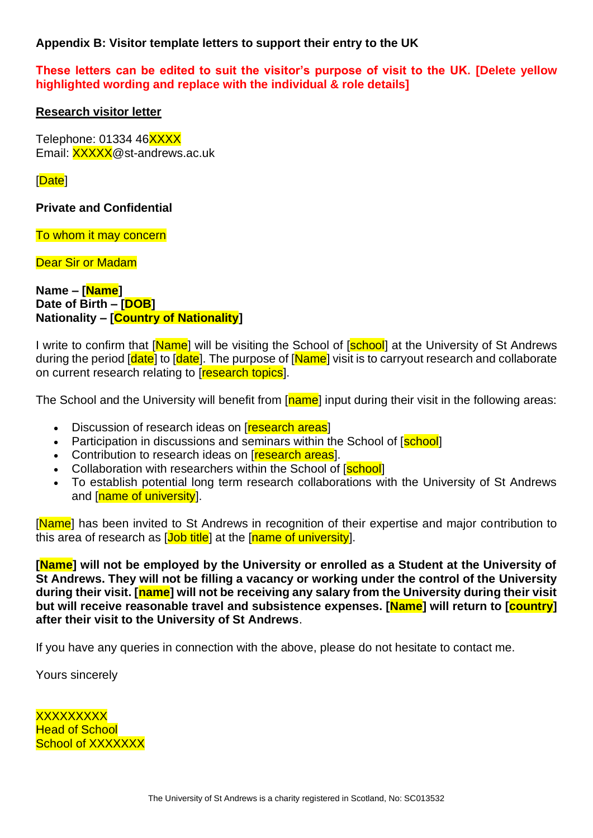## <span id="page-8-0"></span>**Appendix B: Visitor template letters to support their entry to the UK**

## **These letters can be edited to suit the visitor's purpose of visit to the UK. [Delete yellow highlighted wording and replace with the individual & role details]**

#### **Research visitor letter**

Telephone: 01334 46XXXX Email: XXXXX@st-andrews.ac.uk

[Date]

## **Private and Confidential**

To whom it may concern

Dear Sir or Madam

**Name – [Name] Date of Birth – [DOB] Nationality – [Country of Nationality]**

I write to confirm that [Name] will be visiting the School of [school] at the University of St Andrews during the period [date] to [date]. The purpose of [Name] visit is to carryout research and collaborate on current research relating to **research topics**.

The School and the University will benefit from [name] input during their visit in the following areas:

- **Discussion of research ideas on [research areas]**
- Participation in discussions and seminars within the School of [school]
- Contribution to research ideas on **[research areas**].
- Collaboration with researchers within the School of [school]
- To establish potential long term research collaborations with the University of St Andrews and **[name of university]**.

[Name] has been invited to St Andrews in recognition of their expertise and major contribution to this area of research as [Job title] at the [name of university].

**[Name] will not be employed by the University or enrolled as a Student at the University of St Andrews. They will not be filling a vacancy or working under the control of the University during their visit. [name] will not be receiving any salary from the University during their visit but will receive reasonable travel and subsistence expenses. [Name] will return to [country] after their visit to the University of St Andrews**.

If you have any queries in connection with the above, please do not hesitate to contact me.

Yours sincerely

**XXXXXXXX Head of School School of XXXXXXX**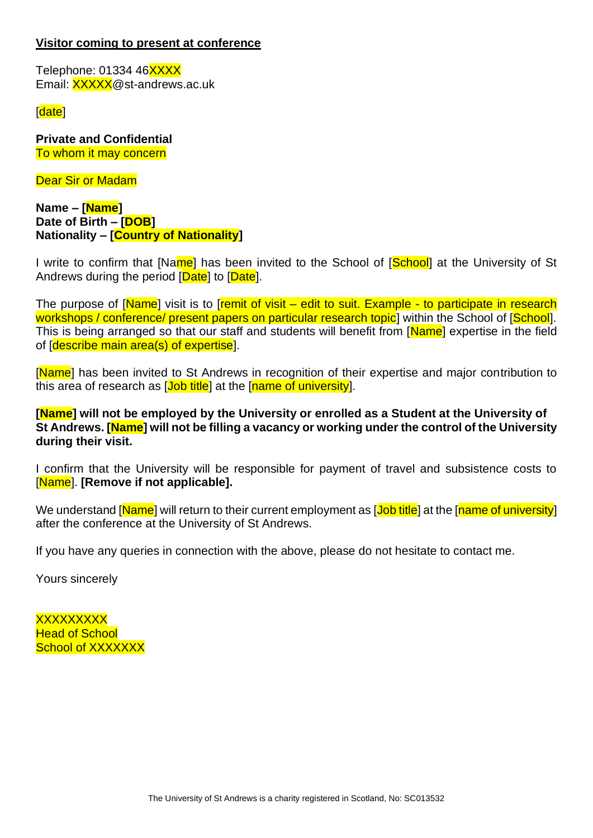## **Visitor coming to present at conference**

Telephone: 01334 46XXXX Email: XXXXX@st-andrews.ac.uk

[date]

**Private and Confidential**  To whom it may concern

Dear Sir or Madam

**Name – [Name] Date of Birth – [DOB] Nationality – [Country of Nationality]**

I write to confirm that [Name] has been invited to the School of [School] at the University of St Andrews during the period [Date] to [Date].

The purpose of [Name] visit is to [remit of visit – edit to suit. Example - to participate in research workshops / conference/ present papers on particular research topic<sup>†</sup> within the School of [School]. This is being arranged so that our staff and students will benefit from [Name] expertise in the field of [describe main area(s) of expertise].

[Name] has been invited to St Andrews in recognition of their expertise and major contribution to this area of research as [Job title] at the [name of university].

**[Name] will not be employed by the University or enrolled as a Student at the University of St Andrews. [Name] will not be filling a vacancy or working under the control of the University during their visit.** 

I confirm that the University will be responsible for payment of travel and subsistence costs to [Name]. **[Remove if not applicable].** 

We understand [Name] will return to their current employment as [Job title] at the [name of university] after the conference at the University of St Andrews.

If you have any queries in connection with the above, please do not hesitate to contact me.

Yours sincerely

**XXXXXXXX Head of School School of XXXXXXX**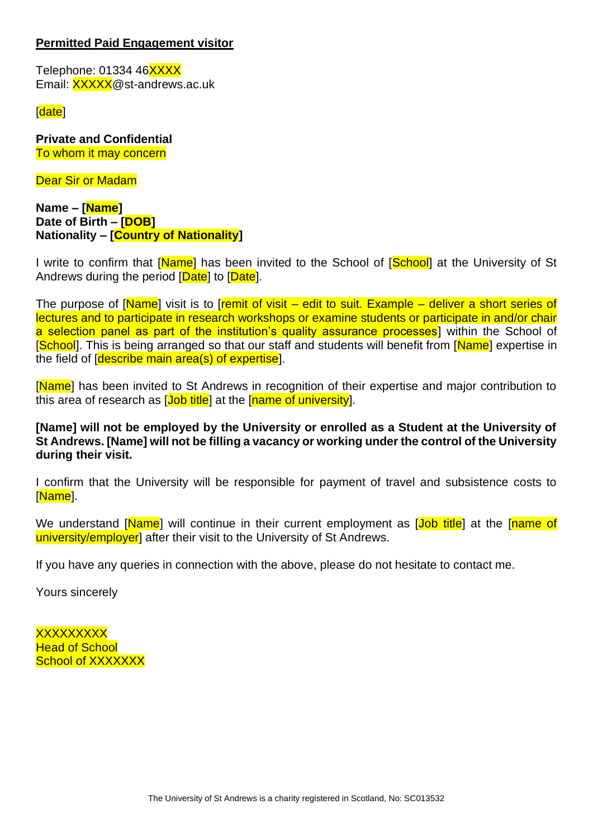## **Permitted Paid Engagement visitor**

Telephone: 01334 46XXXX Email: XXXXX@st-andrews.ac.uk

[date]

**Private and Confidential**  To whom it may concern

Dear Sir or Madam

#### **Name – [Name] Date of Birth – [DOB] Nationality – [Country of Nationality]**

I write to confirm that [Name] has been invited to the School of [School] at the University of St Andrews during the period [Date] to [Date].

The purpose of [Name] visit is to [remit of visit – edit to suit. Example – deliver a short series of lectures and to participate in research workshops or examine students or participate in and/or chair a selection panel as part of the institution's quality assurance processes</u> within the School of [School]. This is being arranged so that our staff and students will benefit from [Name] expertise in the field of [describe main area(s) of expertise].

[Name] has been invited to St Andrews in recognition of their expertise and major contribution to this area of research as [Job title] at the [name of university].

**[Name] will not be employed by the University or enrolled as a Student at the University of St Andrews. [Name] will not be filling a vacancy or working under the control of the University during their visit.** 

I confirm that the University will be responsible for payment of travel and subsistence costs to [Name].

We understand [Name] will continue in their current employment as [Job title] at the [name of university/employer] after their visit to the University of St Andrews.

If you have any queries in connection with the above, please do not hesitate to contact me.

Yours sincerely

**XXXXXXXX Head of School** School of **XXXXXXX**